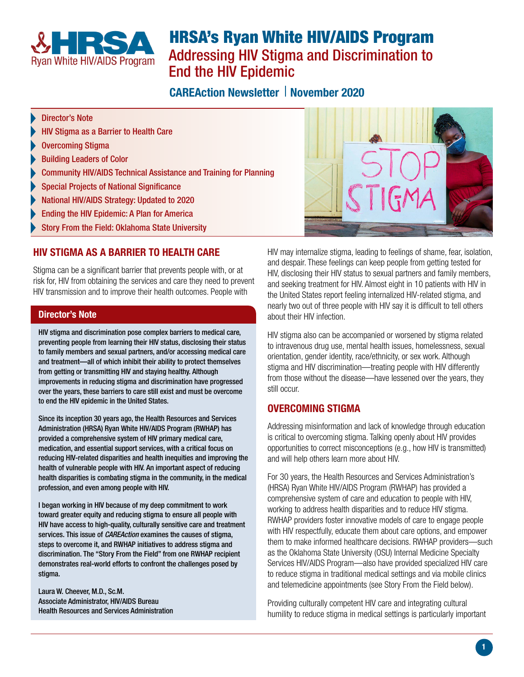

# HRSA's Ryan White HIV/AIDS Program Addressing HIV Stigma and Discrimination to End the HIV Epidemic

## **CAREAction Newsletter | November 2020**

- [Director's Note](#page-0-0)
- [HIV Stigma as a Barrier to Health Care](#page-0-1)
- [Overcoming Stigma](#page-0-2)
- [Building Leaders of Color](#page-1-0)
- [Community HIV/AIDS Technical Assistance and Training for Planning](#page-1-1)
- [Special Projects of National Significance](#page-1-2)
- [National HIV/AIDS Strategy: Updated to 2020](#page-1-3)
- [Ending the HIV Epidemic: A Plan for America](#page-1-4)
- [Story From the Field: Oklahoma State University](#page-1-5)

## <span id="page-0-1"></span>HIV STIGMA AS A BARRIER TO HEALTH CARE

Stigma can be a significant barrier that prevents people with, or at risk for, HIV from obtaining the services and care they need to prevent HIV transmission and to improve their health outcomes. People with

#### <span id="page-0-0"></span>Director's Note

HIV stigma and discrimination pose complex barriers to medical care, preventing people from learning their HIV status, disclosing their status to family members and sexual partners, and/or accessing medical care and treatment—all of which inhibit their ability to protect themselves from getting or transmitting HIV and staying healthy. Although improvements in reducing stigma and discrimination have progressed over the years, these barriers to care still exist and must be overcome to end the HIV epidemic in the United States.

<span id="page-0-2"></span>Since its inception 30 years ago, the Health Resources and Services Administration (HRSA) Ryan White HIV/AIDS Program (RWHAP) has provided a comprehensive system of HIV primary medical care, medication, and essential support services, with a critical focus on reducing HIV-related disparities and health inequities and improving the health of vulnerable people with HIV. An important aspect of reducing health disparities is combating stigma in the community, in the medical profession, and even among people with HIV.

I began working in HIV because of my deep commitment to work toward greater equity and reducing stigma to ensure all people with HIV have access to high-quality, culturally sensitive care and treatment services. This issue of *CAREAction* examines the causes of stigma, steps to overcome it, and RWHAP initiatives to address stigma and discrimination. The "Story From the Field" from one RWHAP recipient demonstrates real-world efforts to confront the challenges posed by stigma.

Laura W. Cheever, M.D., Sc.M. Associate Administrator, HIV/AIDS Bureau Health Resources and Services Administration



HIV may internalize stigma, leading to feelings of shame, fear, isolation, and despair. These feelings can keep people from getting tested for HIV, disclosing their HIV status to sexual partners and family members, and seeking treatment for HIV. Almost eight in 10 patients with HIV in the United States report feeling internalized HIV-related stigma, and nearly two out of three people with HIV say it is difficult to tell others about their HIV infection.

HIV stigma also can be accompanied or worsened by stigma related to intravenous drug use, mental health issues, homelessness, sexual orientation, gender identity, race/ethnicity, or sex work. Although stigma and HIV discrimination—treating people with HIV differently from those without the disease—have lessened over the years, they still occur.

#### OVERCOMING STIGMA

Addressing misinformation and lack of knowledge through education is critical to overcoming stigma. Talking openly about HIV provides opportunities to correct misconceptions (e.g., how HIV is transmitted) and will help others learn more about HIV.

For 30 years, the Health Resources and Services Administration's (HRSA) Ryan White HIV/AIDS Program (RWHAP) has provided a comprehensive system of care and education to people with HIV, working to address health disparities and to reduce HIV stigma. RWHAP providers foster innovative models of care to engage people with HIV respectfully, educate them about care options, and empower them to make informed healthcare decisions. RWHAP providers—such as the Oklahoma State University (OSU) Internal Medicine Specialty Services HIV/AIDS Program—also have provided specialized HIV care to reduce stigma in traditional medical settings and via mobile clinics and telemedicine appointments (see Story From the Field below).

Providing culturally competent HIV care and integrating cultural humility to reduce stigma in medical settings is particularly important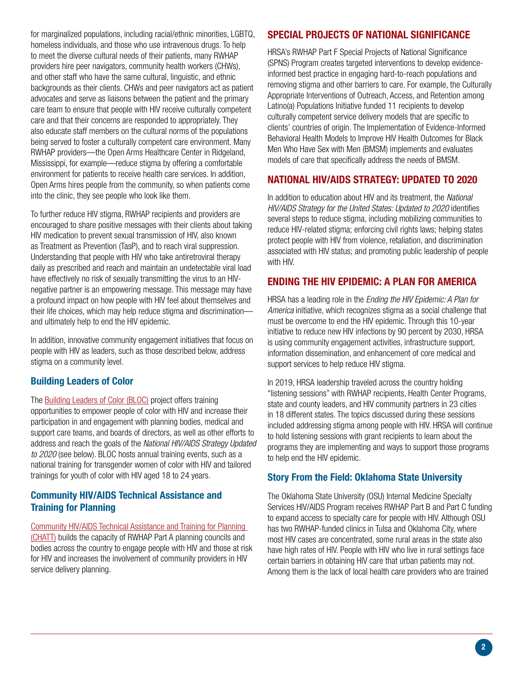<span id="page-1-2"></span>for marginalized populations, including racial/ethnic minorities, LGBTQ, homeless individuals, and those who use intravenous drugs. To help to meet the diverse cultural needs of their patients, many RWHAP providers hire peer navigators, community health workers (CHWs), and other staff who have the same cultural, linguistic, and ethnic backgrounds as their clients. CHWs and peer navigators act as patient advocates and serve as liaisons between the patient and the primary care team to ensure that people with HIV receive culturally competent care and that their concerns are responded to appropriately. They also educate staff members on the cultural norms of the populations being served to foster a culturally competent care environment. Many RWHAP providers—the Open Arms Healthcare Center in Ridgeland, Mississippi, for example—reduce stigma by offering a comfortable environment for patients to receive health care services. In addition, Open Arms hires people from the community, so when patients come into the clinic, they see people who look like them.

<span id="page-1-4"></span><span id="page-1-3"></span>To further reduce HIV stigma, RWHAP recipients and providers are encouraged to share positive messages with their clients about taking HIV medication to prevent sexual transmission of HIV, also known as Treatment as Prevention (TasP), and to reach viral suppression. Understanding that people with HIV who take antiretroviral therapy daily as prescribed and reach and maintain an undetectable viral load have effectively no risk of sexually transmitting the virus to an HIVnegative partner is an empowering message. This message may have a profound impact on how people with HIV feel about themselves and their life choices, which may help reduce stigma and discrimination and ultimately help to end the HIV epidemic.

In addition, innovative community engagement initiatives that focus on people with HIV as leaders, such as those described below, address stigma on a community level.

## <span id="page-1-0"></span>Building Leaders of Color

The [Building Leaders of Color \(BLOC\)](https://targethiv.org/ta-org/blochiv) project offers training opportunities to empower people of color with HIV and increase their participation in and engagement with planning bodies, medical and support care teams, and boards of directors, as well as other efforts to address and reach the goals of the *National HIV/AIDS Strategy Updated to 2020* (see below). BLOC hosts annual training events, such as a national training for transgender women of color with HIV and tailored trainings for youth of color with HIV aged 18 to 24 years.

## <span id="page-1-5"></span><span id="page-1-1"></span>Community HIV/AIDS Technical Assistance and Training for Planning

[Community HIV/AIDS Technical Assistance and Training for Planning](https://targethiv.org/planning-chatt)  [\(CHATT\)](https://targethiv.org/planning-chatt) builds the capacity of RWHAP Part A planning councils and bodies across the country to engage people with HIV and those at risk for HIV and increases the involvement of community providers in HIV service delivery planning.

## SPECIAL PROJECTS OF NATIONAL SIGNIFICANCE

HRSA's RWHAP Part F Special Projects of National Significance (SPNS) Program creates targeted interventions to develop evidenceinformed best practice in engaging hard-to-reach populations and removing stigma and other barriers to care. For example, the Culturally Appropriate Interventions of Outreach, Access, and Retention among Latino(a) Populations Initiative funded 11 recipients to develop culturally competent service delivery models that are specific to clients' countries of origin. The Implementation of Evidence-Informed Behavioral Health Models to Improve HIV Health Outcomes for Black Men Who Have Sex with Men (BMSM) implements and evaluates models of care that specifically address the needs of BMSM.

## NATIONAL HIV/AIDS STRATEGY: UPDATED TO 2020

In addition to education about HIV and its treatment, the *National HIV/AIDS Strategy for the United States: Updated to 2020* identifies several steps to reduce stigma, including mobilizing communities to reduce HIV-related stigma; enforcing civil rights laws; helping states protect people with HIV from violence, retaliation, and discrimination associated with HIV status; and promoting public leadership of people with HIV.

## ENDING THE HIV EPIDEMIC: A PLAN FOR AMERICA

HRSA has a leading role in the *Ending the HIV Epidemic: A Plan for America* initiative, which recognizes stigma as a social challenge that must be overcome to end the HIV epidemic. Through this 10-year initiative to reduce new HIV infections by 90 percent by 2030, HRSA is using community engagement activities, infrastructure support, information dissemination, and enhancement of core medical and support services to help reduce HIV stigma.

In 2019, HRSA leadership traveled across the country holding "listening sessions" with RWHAP recipients, Health Center Programs, state and county leaders, and HIV community partners in 23 cities in 18 different states. The topics discussed during these sessions included addressing stigma among people with HIV. HRSA will continue to hold listening sessions with grant recipients to learn about the programs they are implementing and ways to support those programs to help end the HIV epidemic.

## Story From the Field: Oklahoma State University

The Oklahoma State University (OSU) Internal Medicine Specialty Services HIV/AIDS Program receives RWHAP Part B and Part C funding to expand access to specialty care for people with HIV. Although OSU has two RWHAP-funded clinics in Tulsa and Oklahoma City, where most HIV cases are concentrated, some rural areas in the state also have high rates of HIV. People with HIV who live in rural settings face certain barriers in obtaining HIV care that urban patients may not. Among them is the lack of local health care providers who are trained